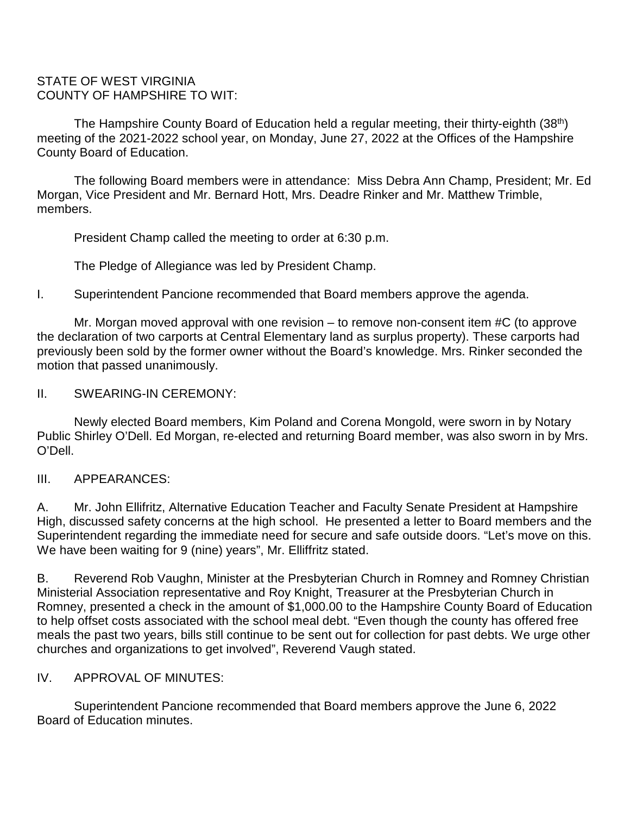#### STATE OF WEST VIRGINIA COUNTY OF HAMPSHIRE TO WIT:

The Hampshire County Board of Education held a regular meeting, their thirty-eighth (38<sup>th</sup>) meeting of the 2021-2022 school year, on Monday, June 27, 2022 at the Offices of the Hampshire County Board of Education.

The following Board members were in attendance: Miss Debra Ann Champ, President; Mr. Ed Morgan, Vice President and Mr. Bernard Hott, Mrs. Deadre Rinker and Mr. Matthew Trimble, members.

President Champ called the meeting to order at 6:30 p.m.

The Pledge of Allegiance was led by President Champ.

I. Superintendent Pancione recommended that Board members approve the agenda.

Mr. Morgan moved approval with one revision – to remove non-consent item #C (to approve the declaration of two carports at Central Elementary land as surplus property). These carports had previously been sold by the former owner without the Board's knowledge. Mrs. Rinker seconded the motion that passed unanimously.

## II. SWEARING-IN CEREMONY:

Newly elected Board members, Kim Poland and Corena Mongold, were sworn in by Notary Public Shirley O'Dell. Ed Morgan, re-elected and returning Board member, was also sworn in by Mrs. O'Dell.

# III. APPEARANCES:

A. Mr. John Ellifritz, Alternative Education Teacher and Faculty Senate President at Hampshire High, discussed safety concerns at the high school. He presented a letter to Board members and the Superintendent regarding the immediate need for secure and safe outside doors. "Let's move on this. We have been waiting for 9 (nine) years", Mr. Elliffritz stated.

B. Reverend Rob Vaughn, Minister at the Presbyterian Church in Romney and Romney Christian Ministerial Association representative and Roy Knight, Treasurer at the Presbyterian Church in Romney, presented a check in the amount of \$1,000.00 to the Hampshire County Board of Education to help offset costs associated with the school meal debt. "Even though the county has offered free meals the past two years, bills still continue to be sent out for collection for past debts. We urge other churches and organizations to get involved", Reverend Vaugh stated.

# IV. APPROVAL OF MINUTES:

Superintendent Pancione recommended that Board members approve the June 6, 2022 Board of Education minutes.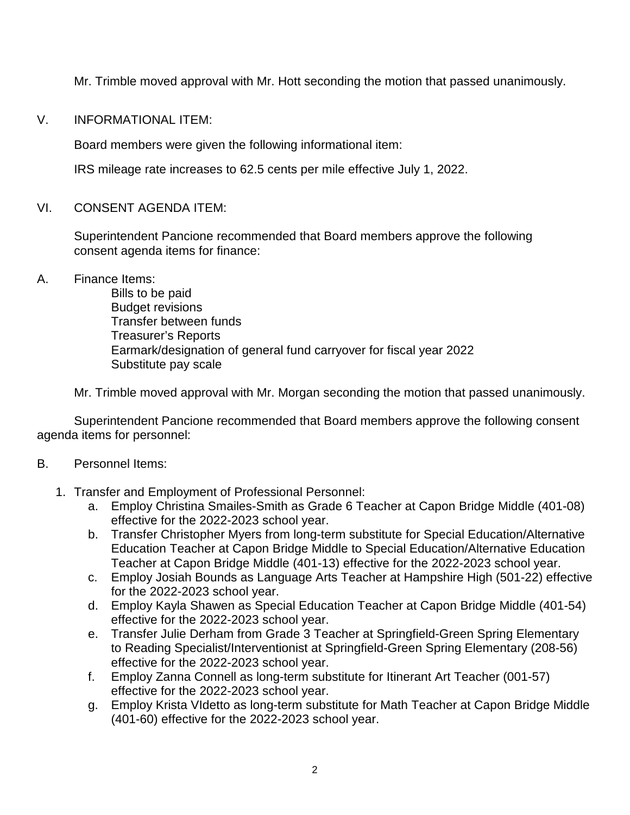Mr. Trimble moved approval with Mr. Hott seconding the motion that passed unanimously.

### V. INFORMATIONAL ITEM:

Board members were given the following informational item:

IRS mileage rate increases to 62.5 cents per mile effective July 1, 2022.

## VI. CONSENT AGENDA ITEM:

Superintendent Pancione recommended that Board members approve the following consent agenda items for finance:

## A. Finance Items:

Bills to be paid Budget revisions Transfer between funds Treasurer's Reports Earmark/designation of general fund carryover for fiscal year 2022 Substitute pay scale

Mr. Trimble moved approval with Mr. Morgan seconding the motion that passed unanimously.

Superintendent Pancione recommended that Board members approve the following consent agenda items for personnel:

#### B. Personnel Items:

- 1. Transfer and Employment of Professional Personnel:
	- a. Employ Christina Smailes-Smith as Grade 6 Teacher at Capon Bridge Middle (401-08) effective for the 2022-2023 school year.
	- b. Transfer Christopher Myers from long-term substitute for Special Education/Alternative Education Teacher at Capon Bridge Middle to Special Education/Alternative Education Teacher at Capon Bridge Middle (401-13) effective for the 2022-2023 school year.
	- c. Employ Josiah Bounds as Language Arts Teacher at Hampshire High (501-22) effective for the 2022-2023 school year.
	- d. Employ Kayla Shawen as Special Education Teacher at Capon Bridge Middle (401-54) effective for the 2022-2023 school year.
	- e. Transfer Julie Derham from Grade 3 Teacher at Springfield-Green Spring Elementary to Reading Specialist/Interventionist at Springfield-Green Spring Elementary (208-56) effective for the 2022-2023 school year.
	- f. Employ Zanna Connell as long-term substitute for Itinerant Art Teacher (001-57) effective for the 2022-2023 school year.
	- g. Employ Krista VIdetto as long-term substitute for Math Teacher at Capon Bridge Middle (401-60) effective for the 2022-2023 school year.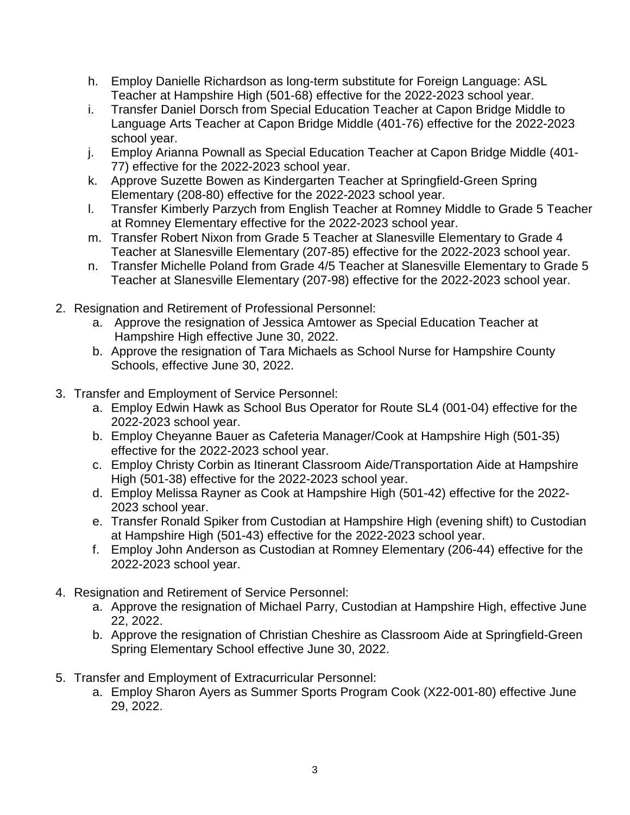- h. Employ Danielle Richardson as long-term substitute for Foreign Language: ASL Teacher at Hampshire High (501-68) effective for the 2022-2023 school year.
- i. Transfer Daniel Dorsch from Special Education Teacher at Capon Bridge Middle to Language Arts Teacher at Capon Bridge Middle (401-76) effective for the 2022-2023 school year.
- j. Employ Arianna Pownall as Special Education Teacher at Capon Bridge Middle (401- 77) effective for the 2022-2023 school year.
- k. Approve Suzette Bowen as Kindergarten Teacher at Springfield-Green Spring Elementary (208-80) effective for the 2022-2023 school year.
- l. Transfer Kimberly Parzych from English Teacher at Romney Middle to Grade 5 Teacher at Romney Elementary effective for the 2022-2023 school year.
- m. Transfer Robert Nixon from Grade 5 Teacher at Slanesville Elementary to Grade 4 Teacher at Slanesville Elementary (207-85) effective for the 2022-2023 school year.
- n. Transfer Michelle Poland from Grade 4/5 Teacher at Slanesville Elementary to Grade 5 Teacher at Slanesville Elementary (207-98) effective for the 2022-2023 school year.
- 2. Resignation and Retirement of Professional Personnel:
	- a. Approve the resignation of Jessica Amtower as Special Education Teacher at Hampshire High effective June 30, 2022.
	- b. Approve the resignation of Tara Michaels as School Nurse for Hampshire County Schools, effective June 30, 2022.
- 3. Transfer and Employment of Service Personnel:
	- a. Employ Edwin Hawk as School Bus Operator for Route SL4 (001-04) effective for the 2022-2023 school year.
	- b. Employ Cheyanne Bauer as Cafeteria Manager/Cook at Hampshire High (501-35) effective for the 2022-2023 school year.
	- c. Employ Christy Corbin as Itinerant Classroom Aide/Transportation Aide at Hampshire High (501-38) effective for the 2022-2023 school year.
	- d. Employ Melissa Rayner as Cook at Hampshire High (501-42) effective for the 2022- 2023 school year.
	- e. Transfer Ronald Spiker from Custodian at Hampshire High (evening shift) to Custodian at Hampshire High (501-43) effective for the 2022-2023 school year.
	- f. Employ John Anderson as Custodian at Romney Elementary (206-44) effective for the 2022-2023 school year.
- 4. Resignation and Retirement of Service Personnel:
	- a. Approve the resignation of Michael Parry, Custodian at Hampshire High, effective June 22, 2022.
	- b. Approve the resignation of Christian Cheshire as Classroom Aide at Springfield-Green Spring Elementary School effective June 30, 2022.
- 5. Transfer and Employment of Extracurricular Personnel:
	- a. Employ Sharon Ayers as Summer Sports Program Cook (X22-001-80) effective June 29, 2022.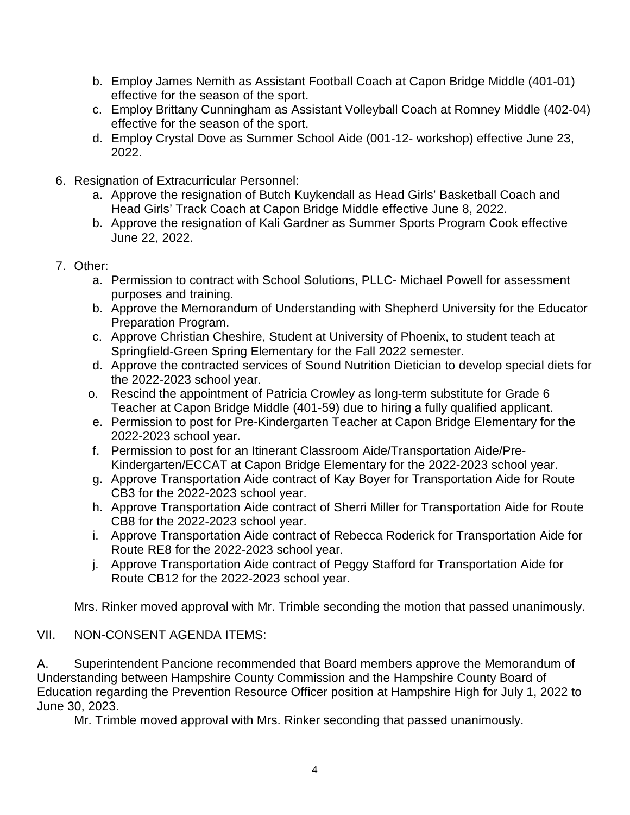- b. Employ James Nemith as Assistant Football Coach at Capon Bridge Middle (401-01) effective for the season of the sport.
- c. Employ Brittany Cunningham as Assistant Volleyball Coach at Romney Middle (402-04) effective for the season of the sport.
- d. Employ Crystal Dove as Summer School Aide (001-12- workshop) effective June 23, 2022.
- 6. Resignation of Extracurricular Personnel:
	- a. Approve the resignation of Butch Kuykendall as Head Girls' Basketball Coach and Head Girls' Track Coach at Capon Bridge Middle effective June 8, 2022.
	- b. Approve the resignation of Kali Gardner as Summer Sports Program Cook effective June 22, 2022.
- 7. Other:
	- a. Permission to contract with School Solutions, PLLC- Michael Powell for assessment purposes and training.
	- b. Approve the Memorandum of Understanding with Shepherd University for the Educator Preparation Program.
	- c. Approve Christian Cheshire, Student at University of Phoenix, to student teach at Springfield-Green Spring Elementary for the Fall 2022 semester.
	- d. Approve the contracted services of Sound Nutrition Dietician to develop special diets for the 2022-2023 school year.
	- o. Rescind the appointment of Patricia Crowley as long-term substitute for Grade 6 Teacher at Capon Bridge Middle (401-59) due to hiring a fully qualified applicant.
	- e. Permission to post for Pre-Kindergarten Teacher at Capon Bridge Elementary for the 2022-2023 school year.
	- f. Permission to post for an Itinerant Classroom Aide/Transportation Aide/Pre-Kindergarten/ECCAT at Capon Bridge Elementary for the 2022-2023 school year.
	- g. Approve Transportation Aide contract of Kay Boyer for Transportation Aide for Route CB3 for the 2022-2023 school year.
	- h. Approve Transportation Aide contract of Sherri Miller for Transportation Aide for Route CB8 for the 2022-2023 school year.
	- i. Approve Transportation Aide contract of Rebecca Roderick for Transportation Aide for Route RE8 for the 2022-2023 school year.
	- j. Approve Transportation Aide contract of Peggy Stafford for Transportation Aide for Route CB12 for the 2022-2023 school year.

Mrs. Rinker moved approval with Mr. Trimble seconding the motion that passed unanimously.

# VII. NON-CONSENT AGENDA ITEMS:

A. Superintendent Pancione recommended that Board members approve the Memorandum of Understanding between Hampshire County Commission and the Hampshire County Board of Education regarding the Prevention Resource Officer position at Hampshire High for July 1, 2022 to June 30, 2023.

Mr. Trimble moved approval with Mrs. Rinker seconding that passed unanimously.